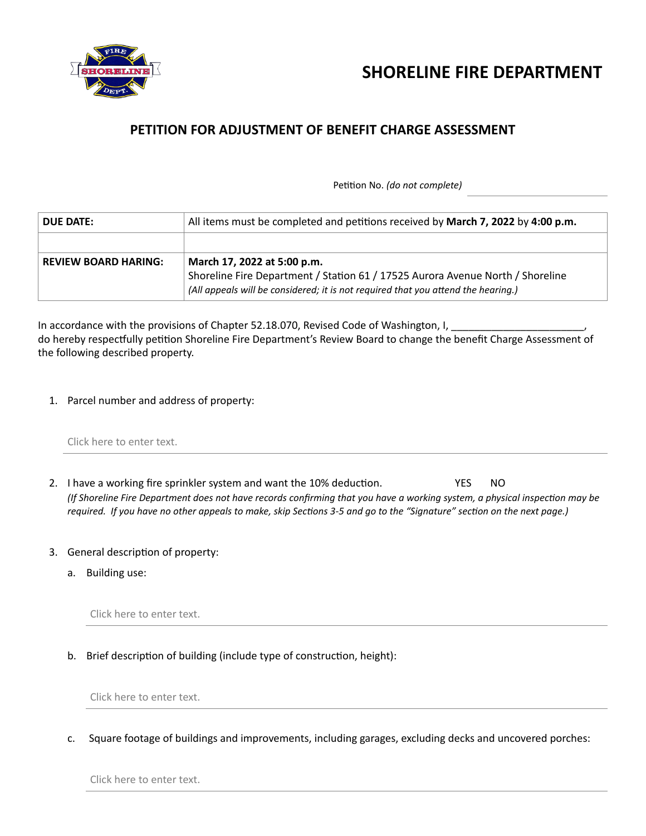



## **PETITION FOR ADJUSTMENT OF BENEFIT CHARGE ASSESSMENT**

Petition No. *(do not complete)*

| <b>DUE DATE:</b>            | All items must be completed and petitions received by March 7, 2022 by 4:00 p.m.                                                                                                                   |
|-----------------------------|----------------------------------------------------------------------------------------------------------------------------------------------------------------------------------------------------|
|                             |                                                                                                                                                                                                    |
| <b>REVIEW BOARD HARING:</b> | March 17, 2022 at 5:00 p.m.<br>Shoreline Fire Department / Station 61 / 17525 Aurora Avenue North / Shoreline<br>(All appeals will be considered; it is not required that you attend the hearing.) |

In accordance with the provisions of Chapter 52.18.070, Revised Code of Washington, I, do hereby respectfully petition Shoreline Fire Department's Review Board to change the benefit Charge Assessment of the following described property.

1. Parcel number and address of property:

|  |  |  | Click here to enter text. |  |
|--|--|--|---------------------------|--|
|--|--|--|---------------------------|--|

- 2. I have a working fire sprinkler system and want the 10% deduction. YES NO *(If Shoreline Fire Department does not have records confirming that you have a working system, a physical inspection may be required. If you have no other appeals to make, skip Sections 3-5 and go to the "Signature" section on the next page.)*
- 3. General description of property:
	- a. Building use:

Click here to enter text.

b. Brief description of building (include type of construction, height):

Click here to enter text.

c. Square footage of buildings and improvements, including garages, excluding decks and uncovered porches:

Click here to enter text.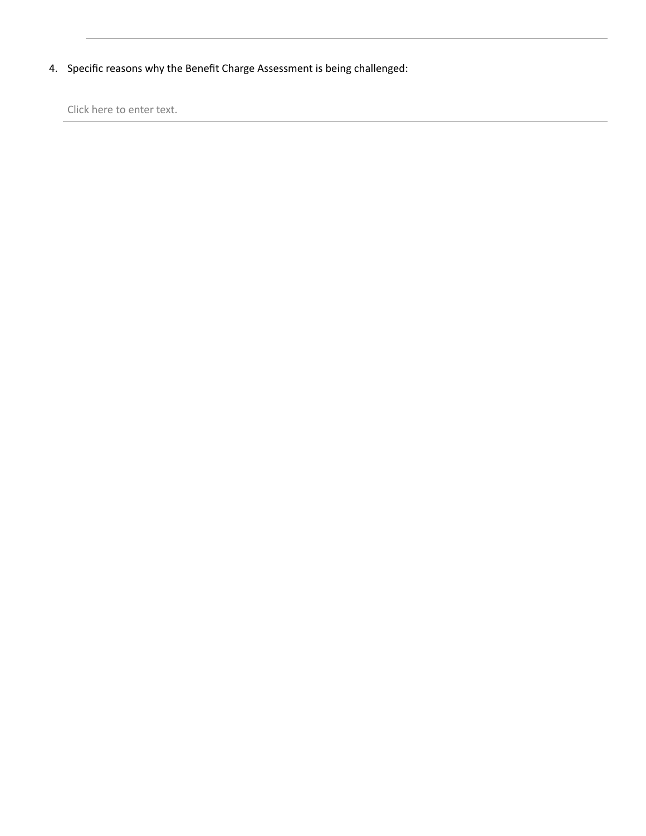4. Specific reasons why the Benefit Charge Assessment is being challenged:

Click here to enter text.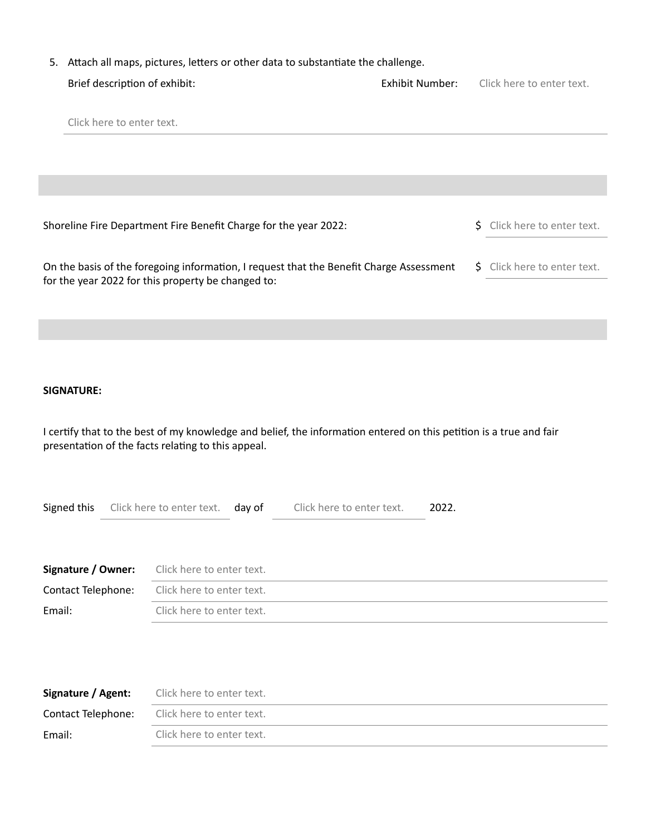|                                     |                                                                                                                                                                          |                           | 5. Attach all maps, pictures, letters or other data to substantiate the challenge. |                                  |  |  |
|-------------------------------------|--------------------------------------------------------------------------------------------------------------------------------------------------------------------------|---------------------------|------------------------------------------------------------------------------------|----------------------------------|--|--|
| Brief description of exhibit:       |                                                                                                                                                                          |                           | <b>Exhibit Number:</b>                                                             | Click here to enter text.        |  |  |
| Click here to enter text.           |                                                                                                                                                                          |                           |                                                                                    |                                  |  |  |
|                                     |                                                                                                                                                                          |                           |                                                                                    |                                  |  |  |
|                                     | Shoreline Fire Department Fire Benefit Charge for the year 2022:                                                                                                         |                           |                                                                                    | Click here to enter text.<br>\$. |  |  |
|                                     | On the basis of the foregoing information, I request that the Benefit Charge Assessment<br>for the year 2022 for this property be changed to:                            |                           |                                                                                    | S Click here to enter text.      |  |  |
|                                     |                                                                                                                                                                          |                           |                                                                                    |                                  |  |  |
|                                     |                                                                                                                                                                          |                           |                                                                                    |                                  |  |  |
| <b>SIGNATURE:</b>                   |                                                                                                                                                                          |                           |                                                                                    |                                  |  |  |
|                                     | I certify that to the best of my knowledge and belief, the information entered on this petition is a true and fair<br>presentation of the facts relating to this appeal. |                           |                                                                                    |                                  |  |  |
| Signed this                         | Click here to enter text. day of                                                                                                                                         | Click here to enter text. | 2022.                                                                              |                                  |  |  |
| Signature / Owner:                  | Click here to enter text.                                                                                                                                                |                           |                                                                                    |                                  |  |  |
| Contact Telephone:                  | Click here to enter text.                                                                                                                                                |                           |                                                                                    |                                  |  |  |
| Email:<br>Click here to enter text. |                                                                                                                                                                          |                           |                                                                                    |                                  |  |  |

| Signature / Agent:        | Click here to enter text. |
|---------------------------|---------------------------|
| <b>Contact Telephone:</b> | Click here to enter text. |
| Email:                    | Click here to enter text. |